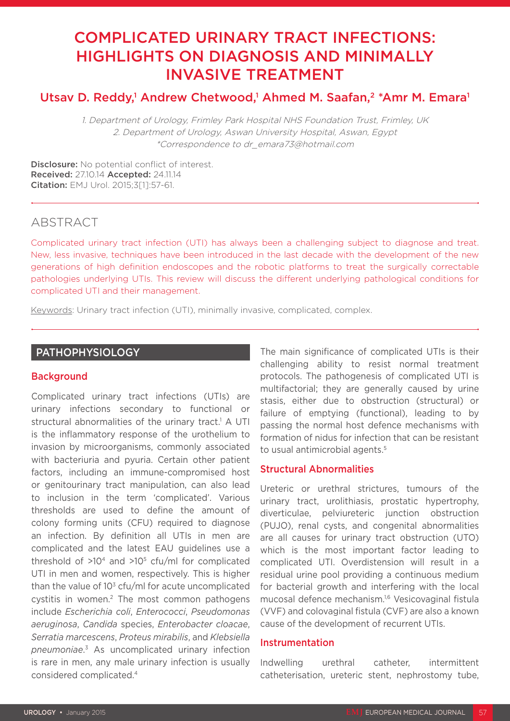# COMPLICATED URINARY TRACT INFECTIONS: HIGHLIGHTS ON DIAGNOSIS AND MINIMALLY INVASIVE TREATMENT

# Utsav D. Reddy,<sup>1</sup> Andrew Chetwood,<sup>1</sup> Ahmed M. Saafan,<sup>2</sup> \*Amr M. Emara<sup>1</sup>

1. Department of Urology, Frimley Park Hospital NHS Foundation Trust, Frimley, UK 2. Department of Urology, Aswan University Hospital, Aswan, Egypt \*Correspondence to dr\_emara73@hotmail.com

Disclosure: No potential conflict of interest. Received: 27.10.14 Accepted: 24.11.14 Citation: EMJ Urol. 2015;3[1]:57-61.

# ABSTRACT

Complicated urinary tract infection (UTI) has always been a challenging subject to diagnose and treat. New, less invasive, techniques have been introduced in the last decade with the development of the new generations of high definition endoscopes and the robotic platforms to treat the surgically correctable pathologies underlying UTIs. This review will discuss the different underlying pathological conditions for complicated UTI and their management.

Keywords: Urinary tract infection (UTI), minimally invasive, complicated, complex.

# PATHOPHYSIOLOGY

#### **Background**

Complicated urinary tract infections (UTIs) are urinary infections secondary to functional or structural abnormalities of the urinary tract.<sup>1</sup> A UTI is the inflammatory response of the urothelium to invasion by microorganisms, commonly associated with bacteriuria and pyuria. Certain other patient factors, including an immune-compromised host or genitourinary tract manipulation, can also lead to inclusion in the term 'complicated'. Various thresholds are used to define the amount of colony forming units (CFU) required to diagnose an infection. By definition all UTIs in men are complicated and the latest EAU guidelines use a threshold of  $>10<sup>4</sup>$  and  $>10<sup>5</sup>$  cfu/ml for complicated UTI in men and women, respectively. This is higher than the value of  $10<sup>3</sup>$  cfu/ml for acute uncomplicated cystitis in women.<sup>2</sup> The most common pathogens include *Escherichia coli*, *Enterococci*, *Pseudomonas aeruginosa*, *Candida* species, *Enterobacter cloacae*, *Serratia marcescens*, *Proteus mirabilis*, and *Klebsiella pneumoniae*. 3 As uncomplicated urinary infection is rare in men, any male urinary infection is usually considered complicated.4

The main significance of complicated UTIs is their challenging ability to resist normal treatment protocols. The pathogenesis of complicated UTI is multifactorial; they are generally caused by urine stasis, either due to obstruction (structural) or failure of emptying (functional), leading to by passing the normal host defence mechanisms with formation of nidus for infection that can be resistant to usual antimicrobial agents.<sup>5</sup>

# Structural Abnormalities

Ureteric or urethral strictures, tumours of the urinary tract, urolithiasis, prostatic hypertrophy, diverticulae, pelviureteric junction obstruction (PUJO), renal cysts, and congenital abnormalities are all causes for urinary tract obstruction (UTO) which is the most important factor leading to complicated UTI. Overdistension will result in a residual urine pool providing a continuous medium for bacterial growth and interfering with the local mucosal defence mechanism.1,6 Vesicovaginal fistula (VVF) and colovaginal fistula (CVF) are also a known cause of the development of recurrent UTIs.

### Instrumentation

Indwelling urethral catheter, intermittent catheterisation, ureteric stent, nephrostomy tube,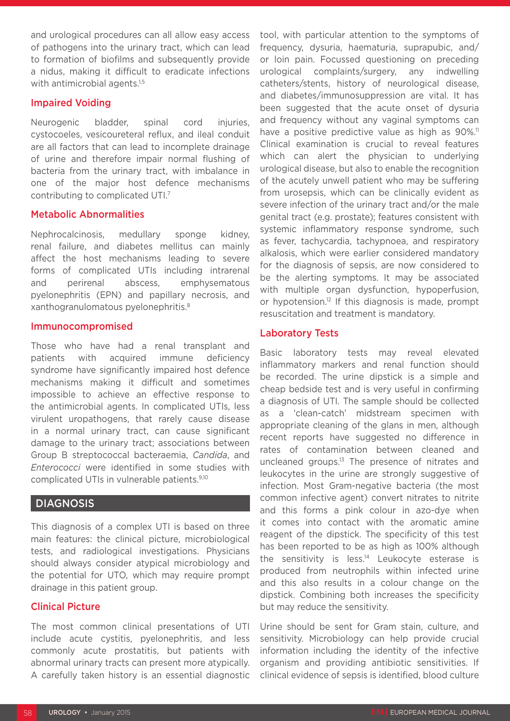and urological procedures can all allow easy access of pathogens into the urinary tract, which can lead to formation of biofilms and subsequently provide a nidus, making it difficult to eradicate infections with antimicrobial agents.<sup>1,5</sup>

#### Impaired Voiding

Neurogenic bladder, spinal cord injuries, cystocoeles, vesicoureteral reflux, and ileal conduit are all factors that can lead to incomplete drainage of urine and therefore impair normal flushing of bacteria from the urinary tract, with imbalance in one of the major host defence mechanisms contributing to complicated UTI.7

#### Metabolic Abnormalities

Nephrocalcinosis, medullary sponge kidney, renal failure, and diabetes mellitus can mainly affect the host mechanisms leading to severe forms of complicated UTIs including intrarenal and perirenal abscess, emphysematous pyelonephritis (EPN) and papillary necrosis, and xanthogranulomatous pyelonephritis.8

#### Immunocompromised

Those who have had a renal transplant and patients with acquired immune deficiency syndrome have significantly impaired host defence mechanisms making it difficult and sometimes impossible to achieve an effective response to the antimicrobial agents. In complicated UTIs, less virulent uropathogens, that rarely cause disease in a normal urinary tract, can cause significant damage to the urinary tract; associations between Group B streptococcal bacteraemia, *Candida*, and *Enterococci* were identified in some studies with complicated UTIs in vulnerable patients.9,10

#### DIAGNOSIS

This diagnosis of a complex UTI is based on three main features: the clinical picture, microbiological tests, and radiological investigations. Physicians should always consider atypical microbiology and the potential for UTO, which may require prompt drainage in this patient group.

#### Clinical Picture

The most common clinical presentations of UTI include acute cystitis, pyelonephritis, and less commonly acute prostatitis, but patients with abnormal urinary tracts can present more atypically. A carefully taken history is an essential diagnostic tool, with particular attention to the symptoms of frequency, dysuria, haematuria, suprapubic, and/ or loin pain. Focussed questioning on preceding urological complaints/surgery, any indwelling catheters/stents, history of neurological disease, and diabetes/immunosuppression are vital. It has been suggested that the acute onset of dysuria and frequency without any vaginal symptoms can have a positive predictive value as high as 90%.<sup>11</sup> Clinical examination is crucial to reveal features which can alert the physician to underlying urological disease, but also to enable the recognition of the acutely unwell patient who may be suffering from urosepsis, which can be clinically evident as severe infection of the urinary tract and/or the male genital tract (e.g. prostate); features consistent with systemic inflammatory response syndrome, such as fever, tachycardia, tachypnoea, and respiratory alkalosis, which were earlier considered mandatory for the diagnosis of sepsis, are now considered to be the alerting symptoms. It may be associated with multiple organ dysfunction, hypoperfusion, or hypotension.12 If this diagnosis is made, prompt resuscitation and treatment is mandatory.

#### Laboratory Tests

Basic laboratory tests may reveal elevated inflammatory markers and renal function should be recorded. The urine dipstick is a simple and cheap bedside test and is very useful in confirming a diagnosis of UTI. The sample should be collected as a 'clean-catch' midstream specimen with appropriate cleaning of the glans in men, although recent reports have suggested no difference in rates of contamination between cleaned and uncleaned groups.<sup>13</sup> The presence of nitrates and leukocytes in the urine are strongly suggestive of infection. Most Gram-negative bacteria (the most common infective agent) convert nitrates to nitrite and this forms a pink colour in azo-dye when it comes into contact with the aromatic amine reagent of the dipstick. The specificity of this test has been reported to be as high as 100% although the sensitivity is less.<sup>14</sup> Leukocyte esterase is produced from neutrophils within infected urine and this also results in a colour change on the dipstick. Combining both increases the specificity but may reduce the sensitivity.

Urine should be sent for Gram stain, culture, and sensitivity. Microbiology can help provide crucial information including the identity of the infective organism and providing antibiotic sensitivities. If clinical evidence of sepsis is identified, blood culture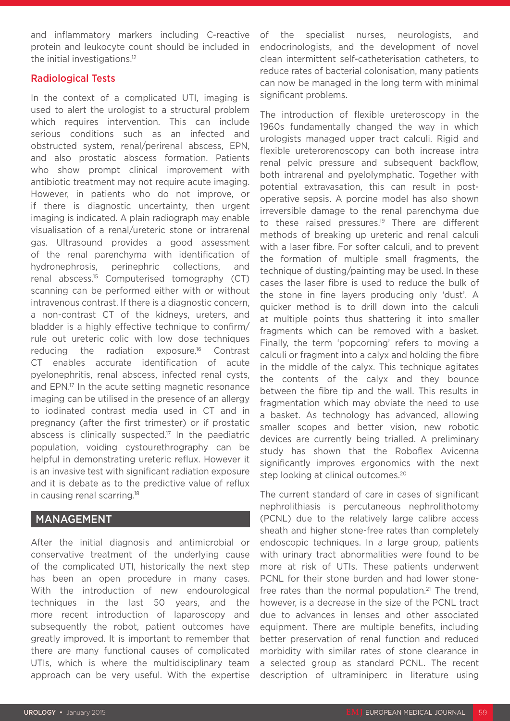and inflammatory markers including C-reactive protein and leukocyte count should be included in the initial investigations.<sup>12</sup>

### Radiological Tests

In the context of a complicated UTI, imaging is used to alert the urologist to a structural problem which requires intervention. This can include serious conditions such as an infected and obstructed system, renal/perirenal abscess, EPN, and also prostatic abscess formation. Patients who show prompt clinical improvement with antibiotic treatment may not require acute imaging. However, in patients who do not improve, or if there is diagnostic uncertainty, then urgent imaging is indicated. A plain radiograph may enable visualisation of a renal/ureteric stone or intrarenal gas. Ultrasound provides a good assessment of the renal parenchyma with identification of hydronephrosis, perinephric collections, and renal abscess.15 Computerised tomography (CT) scanning can be performed either with or without intravenous contrast. If there is a diagnostic concern, a non-contrast CT of the kidneys, ureters, and bladder is a highly effective technique to confirm/ rule out ureteric colic with low dose techniques reducing the radiation exposure.16 Contrast CT enables accurate identification of acute pyelonephritis, renal abscess, infected renal cysts, and EPN.17 In the acute setting magnetic resonance imaging can be utilised in the presence of an allergy to iodinated contrast media used in CT and in pregnancy (after the first trimester) or if prostatic abscess is clinically suspected.17 In the paediatric population, voiding cystourethrography can be helpful in demonstrating ureteric reflux. However it is an invasive test with significant radiation exposure and it is debate as to the predictive value of reflux in causing renal scarring.18

# MANAGEMENT

After the initial diagnosis and antimicrobial or conservative treatment of the underlying cause of the complicated UTI, historically the next step has been an open procedure in many cases. With the introduction of new endourological techniques in the last 50 years, and the more recent introduction of laparoscopy and subsequently the robot, patient outcomes have greatly improved. It is important to remember that there are many functional causes of complicated UTIs, which is where the multidisciplinary team approach can be very useful. With the expertise

of the specialist nurses, neurologists, and endocrinologists, and the development of novel clean intermittent self-catheterisation catheters, to reduce rates of bacterial colonisation, many patients can now be managed in the long term with minimal significant problems.

The introduction of flexible ureteroscopy in the 1960s fundamentally changed the way in which urologists managed upper tract calculi. Rigid and flexible ureterorenoscopy can both increase intra renal pelvic pressure and subsequent backflow, both intrarenal and pyelolymphatic. Together with potential extravasation, this can result in postoperative sepsis. A porcine model has also shown irreversible damage to the renal parenchyma due to these raised pressures.<sup>19</sup> There are different methods of breaking up ureteric and renal calculi with a laser fibre. For softer calculi, and to prevent the formation of multiple small fragments, the technique of dusting/painting may be used. In these cases the laser fibre is used to reduce the bulk of the stone in fine layers producing only 'dust'. A quicker method is to drill down into the calculi at multiple points thus shattering it into smaller fragments which can be removed with a basket. Finally, the term 'popcorning' refers to moving a calculi or fragment into a calyx and holding the fibre in the middle of the calyx. This technique agitates the contents of the calyx and they bounce between the fibre tip and the wall. This results in fragmentation which may obviate the need to use a basket. As technology has advanced, allowing smaller scopes and better vision, new robotic devices are currently being trialled. A preliminary study has shown that the Roboflex Avicenna significantly improves ergonomics with the next step looking at clinical outcomes.<sup>20</sup>

The current standard of care in cases of significant nephrolithiasis is percutaneous nephrolithotomy (PCNL) due to the relatively large calibre access sheath and higher stone-free rates than completely endoscopic techniques. In a large group, patients with urinary tract abnormalities were found to be more at risk of UTIs. These patients underwent PCNL for their stone burden and had lower stonefree rates than the normal population.<sup>21</sup> The trend, however, is a decrease in the size of the PCNL tract due to advances in lenses and other associated equipment. There are multiple benefits, including better preservation of renal function and reduced morbidity with similar rates of stone clearance in a selected group as standard PCNL. The recent description of ultraminiperc in literature using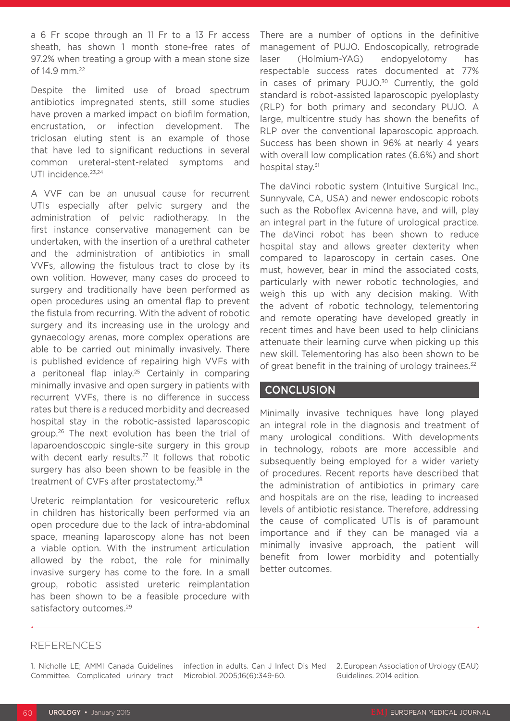a 6 Fr scope through an 11 Fr to a 13 Fr access sheath, has shown 1 month stone-free rates of 97.2% when treating a group with a mean stone size of 14.9 mm.22

Despite the limited use of broad spectrum antibiotics impregnated stents, still some studies have proven a marked impact on biofilm formation, encrustation, or infection development. The triclosan eluting stent is an example of those that have led to significant reductions in several common ureteral-stent-related symptoms and UTI incidence.<sup>23,24</sup>

A VVF can be an unusual cause for recurrent UTIs especially after pelvic surgery and the administration of pelvic radiotherapy. In the first instance conservative management can be undertaken, with the insertion of a urethral catheter and the administration of antibiotics in small VVFs, allowing the fistulous tract to close by its own volition. However, many cases do proceed to surgery and traditionally have been performed as open procedures using an omental flap to prevent the fistula from recurring. With the advent of robotic surgery and its increasing use in the urology and gynaecology arenas, more complex operations are able to be carried out minimally invasively. There is published evidence of repairing high VVFs with a peritoneal flap inlay.<sup>25</sup> Certainly in comparing minimally invasive and open surgery in patients with recurrent VVFs, there is no difference in success rates but there is a reduced morbidity and decreased hospital stay in the robotic-assisted laparoscopic group.<sup>26</sup> The next evolution has been the trial of laparoendoscopic single-site surgery in this group with decent early results.<sup>27</sup> It follows that robotic surgery has also been shown to be feasible in the treatment of CVFs after prostatectomy.28

Ureteric reimplantation for vesicoureteric reflux in children has historically been performed via an open procedure due to the lack of intra-abdominal space, meaning laparoscopy alone has not been a viable option. With the instrument articulation allowed by the robot, the role for minimally invasive surgery has come to the fore. In a small group, robotic assisted ureteric reimplantation has been shown to be a feasible procedure with satisfactory outcomes.<sup>29</sup>

There are a number of options in the definitive management of PUJO. Endoscopically, retrograde laser (Holmium-YAG) endopyelotomy has respectable success rates documented at 77% in cases of primary PUJO.<sup>30</sup> Currently, the gold standard is robot-assisted laparoscopic pyeloplasty (RLP) for both primary and secondary PUJO. A large, multicentre study has shown the benefits of RLP over the conventional laparoscopic approach. Success has been shown in 96% at nearly 4 years with overall low complication rates (6.6%) and short hospital stay.<sup>31</sup>

The daVinci robotic system (Intuitive Surgical Inc., Sunnyvale, CA, USA) and newer endoscopic robots such as the Roboflex Avicenna have, and will, play an integral part in the future of urological practice. The daVinci robot has been shown to reduce hospital stay and allows greater dexterity when compared to laparoscopy in certain cases. One must, however, bear in mind the associated costs, particularly with newer robotic technologies, and weigh this up with any decision making. With the advent of robotic technology, telementoring and remote operating have developed greatly in recent times and have been used to help clinicians attenuate their learning curve when picking up this new skill. Telementoring has also been shown to be of great benefit in the training of urology trainees.<sup>32</sup>

#### **CONCLUSION**

Minimally invasive techniques have long played an integral role in the diagnosis and treatment of many urological conditions. With developments in technology, robots are more accessible and subsequently being employed for a wider variety of procedures. Recent reports have described that the administration of antibiotics in primary care and hospitals are on the rise, leading to increased levels of antibiotic resistance. Therefore, addressing the cause of complicated UTIs is of paramount importance and if they can be managed via a minimally invasive approach, the patient will benefit from lower morbidity and potentially better outcomes.

#### REFERENCES

1. Nicholle LE; AMMI Canada Guidelines Committee. Complicated urinary tract

infection in adults. Can J Infect Dis Med Microbiol. 2005;16(6):349-60.

2. European Association of Urology (EAU) Guidelines. 2014 edition.